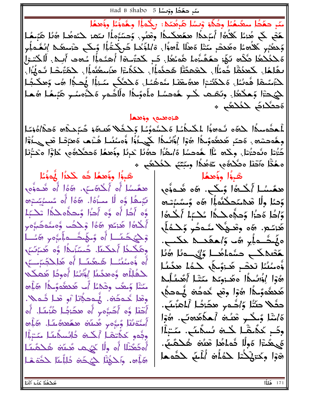Mad B Shabo 5 مَحْدًا وَوَسَلًا 5

مَد حَمَّدًا معتَمْمُا وحُكَّوْ وْسَا هَرِهُمَدْ: رِجْحَةًا وِهُوَذُا وِؤُهِهَا هَبْ كُمْ هُزِيْا كَلَاهَا أَعْدِدُا هِمُعْكَنِدًا وِهْتُو. وَحِمَّرُواْ بَعْدِ حَمَقُنَا هُنَا هَبُنُها وَحِعْبُهِ ۚ كَلَاهِ مَا مَعْدَكَ مِّتْلَا هُمِلًا ۖ أَهوَٰوَا ﴾ وَٱلمَوَّكُـا حَرِيكُـتَّهُۢا وَمِكْ حَرْسعكم إنفُـمام هَ كَخُلْحُطُ هَٰذُه نَّهُ: حَمَّفَنُّوما هُوسُعُل. ضَرِ كَحَتَّمِدْهَ أَوْهِدُولًا سُوت أَبِيهِ. لَلگتتول ىعًاهُا. كَعِنْقْا شُمْأَا. كَعْمَتْنَا هَجِدْهِأَا. كَكَلَّتْ امْنُسِعْتُمْأَا. كَعَتَّىضًا تُمهُّزًا. لأَتِمَّىقَا فُوسُّا. هَلاَمُتْتِ اهدَّمَعْنَا مُوهُمُا. هَلاهُكُم مَنْ الْمُولَّهِ اللَّهُ وَهلاَجُا لْكَيْحَتَا وَحْكَمُا. وتَشْعَبْ كُثِرِ هُوَصِبًا وأُومِّيهَ الْمَأْشُورِ وَكَبُّومُنْنِ وَيُبَعِّلُ شُعبا ەَحثَلاصٌ لمُلْلغُب \*

## فزهمتم وؤهما

أَهتُوسِكُا ۖ ذَوَّهُ ۚ وَالْمُسَارِّدُ ۖ وَلَحْشَاهُ وَلَدْ اللَّهُ وَلَدْ مُسَوَّرُ وَلَدَ وَالْمُؤْكَل وِهُوصِيْهِ . وَحِبْرٍ هَٰذِهُوَ حَمْلَ هُوْلَ إِوَّاتُنَجُلَ حَكِيداًوَّا وُّومِئْتُنَا هُنَّوْهَا وَحَرَضَا هُني حَارَةِ ا كَتُبْنَا ونُودَتُنَا. وِكْلِهِ عَلَّا هُوصِبُا وُاحِقُوا حِيفًا كَبِرُا وِذَهِهَا وَحِكْلُوهُ مِي كَاثَرا وَحَتَرُنَا هِ هَٰٰٓذَا هَٰٓتَنَا هَ شَلَاهُ مِن مِّهُمَّا ۖ وَسَبِّئَتِي حَكَٰلَهُمْ ۖ \*

هْبِوُّا وِؤَهِمُا ثُم كَذَا يُهوُّمُا هِهَمَمَا أَوْ أَكْتَوَكَنِ. وَأَوْا أَو هُدَوْقٍ بَبُّمَعًا وَّهِ لَّا مِسْؤُهَا. 3% أَهْ مُسْؤَيِّسَةٍ وُّه أَحُل أَه وُه أَحرُّا وُحِدُّه حَدًّا تَحْبَط ٱلْكُلَّةُا هَٰٓئِكُمْ إِلَهُمْ أَوْلَكُتْ وُمِنَّعَكِّيُّومِ وْݣَىكْسًا أَه وُجْهَشُــهِلّْبَهْرِ هَـٰـا وهَكْبِدًا أَحِكْبِيًا. شَيْئُوْجًا وُهِ هَجَتِيً أَه وُمِنْتُنَا هَيْتَيْنَا أَهْ هَالْجَبَّيْنَ لْحَفُلِلُهِ ۖ وُوهِكُمُا إِوَّاتُنَا أُووجًا هَٰعِكُلَّا مَتْلَا وَمِعَّبٍ وَشَمْنًا أَبٍ هَٰذَهُوَمِكَٰا هَٰذَاهِ وقَدا جُـءَدُهُ. هُـءَدَاتِنَا ٱو قَدا شَـهَـلا. أَحْنَا وُه أُحُبُوم أَه محَاجُـا هُنْتَـا. أَه أَمَّتَهُ لَّالَ وَجَوْدِ مُحْمَلَةَ هَجَمَعَهُ مَثَالَ هَاءُ ٥ وِبُووِ كَذَّتَهَا أَكْذَ دُاسُكُنَّا مَتَبَاْلَ أُهدَّمْنَال أَه وِلَّا كَجَيْهَا هُنْدُهُ هُكْهَٰدًا هَاْهِ. وَٱللَّهَٰلَمَا لَّكُلُّهُ وَٱلْمُسَا لِلصَّفَاعَـا

هْرؤُا وؤُهمُا ھمَسُلِ اُحْدَهُ اوُحِکَے. هُء هُدوْهِ وَحْنَا وِلَّا شَدْمَكْتُحَدِّلُهُ أَهُ وَسُنُبُرْتِينَ وَّاحًا هَجًا وَحِبُّوحَكُمَّا عُجَبًا ٱلْحُمَّا هُزئِــُـمْ. 6ه وقْعَــهْـلا مُنْــه كُــر وُلْحَــهُ لَمْ ەكمۇم ھۇم قۇلمۇدىكە بىگىب. لَّهُ الْمَصْرِينَ فَيَعْدَلُونَ وَإِنَّاسِكُمْ مِنَا الْمُمَا وْْوِمُنُنَا نَحْصَرِ هُـزَوُنِكُي كَــٰمَاءَ هَدَّمُنَا هُوْا إِذَابُـٰهَٰا ۖ هَٰـٰٓ وَكُـٰهِ ۖ مَتْنَـا أَهُـٰنُـلُـٰهَـٰ هَٰدهُدوۡۂا هُوۡۤا وهَى خُدخُهَ یُّدحکُ حثُلًا حَنَّنُا وَ/حُـم ٖ محَـٰٓ;صُـا /ٓاهنَّكَ. ەُاشْا وُحْكُمْ شْنُبْهُ أَهْلَائُدُهنَّ. هُوْا وكَمِ كَمُشْا كُنْ سُلَمْتٍ. مَتْبَاْل ى هَيْمَنْزَا وَوِلًا شَمْلَهُمْ هَدُوْهَ هُكْمَنَى. هْوَا وِكْتِهْتُمْ لَاهْلُهْ ٱلْمُبَّى لِحْشُمِهَا

مَحْفُلُا حَنَّمِ ٱلْأَمَّا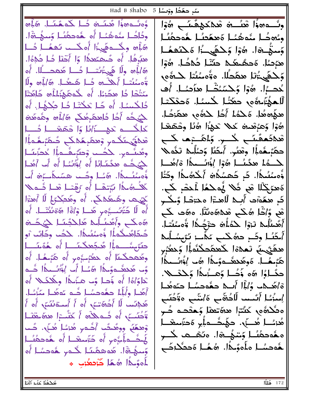$\overline{5}$ مَر حمَّحًا ووَسَا Had B shabo وُوسُـوووُا مُسَـّدَة ضَـا كَمِعْسَـا. ﴿ وَثَّــه%أَ هَنُـــةَ هَٰذَكَٰذِهُنَــّ %وْا ودُادُ ا مُدَهُمُا أَو حُدَدَتُنَا وَسَيُرَةَا. ونُعجُما مُعْجَمَا وَهِمُصَا هُوجِفُنَا هَٰأَو وِكُــوَفِّيءُ أُوكُــب تَعمُــا دُــا وَسَنَّصْرَهُ أَنْ وَلَا وَحَكَمَٰتُ أَنَّ مَكْتَحَمُّطْ هبَرِهَا. أَو حَيهِمَعِيمًا وَا أَحْتَا حُبا مُجِوَّا. هرَّميًّا. هُدهٌ هَذَا هَا اللَّهُ اللَّهُ اللَّهُ وَالَّهُ هَا أَه ولَّا فَي تُرْسَط ضَلا هُعصــُلَا. أَه وَحْدَيْبَتْنَا مِحْمَحُلًا. وَقُومُنُتَا حَدِيَّهِ وَّْوِينُسُّا أَيْلَاتُ صُلْ هُيمُا. وَأَبْلُ وَلَ حُصــُرَا. ۞وْا وَحْسَنُشْــا هدَٰصُــا. ٱف مَتْتْدَا دُا مِدَّنْا. أُه حُدمَّهِ ذَا اللَّهُ دَامَّتْنَا لْلْعَجْتَنِيَّةُ وَحَدَّلْ حُسْنًا. هَدَنْكْسًا دُاكْسْنَا. أَو حَا تَكْتَا دُا دِكْمًا. أَو هِجُوهُوا. هَكْمُا أَحُا كِرْهُو، هِجَرْحُا. كَيْحُه أَحُلْ حُلِّعْهُ رَحُكُمْ رَكَالُمْ وَهُوَهُدَهَ هُوْا وُهِرْهُدهُ كَلا تَكِيُّا هُلَّا وِحْقِقَا كلگــــــه ثكمــــزُانُل وَل شَعْعْــــــــل دُــــــل ەدەك**م**قَى*نَ* كَـــر. وَاهَـــرْما كَــــر هْدُوَّكِمْتُكُمْرِ وْهَضْبِهُدْكُمْ شُمَّتُهُمْ أَ حكَبُـهُـهِ أُمْ وَهُنُو. أُمكَنُا وَحَنَّاها تَذُه لا وهُنتُـم،. حَدُّـب وْحَبَّنفُـماً الْحَذَّنبَـا لِحَكِيثُ مَحْمَدُانُا أَو إِقْلَتْنَا أَو أَبَ أَهْلِ لكَـــهُـلَ هَذَٰـَــلَّ هُوٓا إِذُائــــماًا هَ/هُـــل وَّەمْنُىدا. كَرٖ كَھىنُدُّە أَىكْدُمْداْ وِكَتُل وُّومِمُنُــٰماً. ﴿ وَكُــا وَكُــا هِمُمْكِنِّمَةٌ ۚ أَبَّ كَلُّـهُ جَالَ يَہْتَقَـا أَه رَقِيْتَا هَـا ثَــمَـلا هَمْرَجْلًا مْعِ فُلا هُمكمًا لْمَحْمَرِ كَعِ. كَيْهِمْ وَهُمَعُكُمْكُمْ. أَهْ وَهُدَكِكُمْ} لَّا أَهْتَزَا كَرِ هِمَّەْتَ أَبِيْهِ لْأَهِيْزَا وَحَرْضًا وُحْكَـرِ أَه لَا كَتَنَـُــبُومِ هَــا وْاَوَّا هَوَىٰنُنْــا. أَه مْعِ وُٱخْلَا شُكْعٍ مْحَاشَامَتْنَا. وَهَٰڡ نَكْحِ هَ مَكَّسٍ وأَهْسُلُكَ هَلَكَبُسًا كَيْضَة أَهٗىئلَّك نَرْوا حِدَٰءُ وَ الْحَدُّا وَّٰٓ مُنُسَّا. حَكَاهُنگماُ! وُّەمْئُنْدا. نَكْت وْحَابَّ ْأَو أَحَلُـا وضَـ حدُكــ كلَّمــ: تَوَّصُــأَمـدَ حَبَّى اللَّهُ وَاللَّهُ مَحْمَدُ اللَّهُ اللَّهُ عَدَّمَتَ الْمَسْرَدِ هِفَيْ بِهَ تَعَدَّدَا ۚ كَعْمَدَكْتُهِۥ ۖ وَحَعَدُ مِنْ وهُعدكُمَا أَو حِعُبُومٍ أَو هَبُكُل أَو هَّزُهُــا. هُوهُدهُــورُدا هُــ إِذَابُـــداً وًٰٮ مَحْجَدٌ وَجِدًا وَكَسَلَ أَبَ إِوْٓائِـُـمِدًا خُــو حِنَّــاوُا هَء وَّحُــا وَعَــزُمِّا وَحَــْدٍ. تَعْلَوُاهُ! أَو ذَكَّ وَبِ هِنَدْاً وِلَمُكَلِّلاً أَو ة/هُــد، وُ/أَلِ أَبــد حمْهِجِسًا حِمَّهُنَا أَهَٰـا وَأَبَلَٰا حَمّْوَحِسًا خُـو عَوَهَـا عَذُنَـا. إمنُّنْـا أَنُسْـى لَّاحُثَّى هَامْتُــى دَوَّحُنَّـى هَٰذِكَــٰ لَا أَحُمَّتَـٰٓى أَه أَ أَستَانُتُىٰ أَه أَ ەئكشەر كَتُتْرَا ھەتتىما كَعْتْصَد خُلِ وَّكُنَّبَي أَه شُمِيلاً وَ كَتَبْتِهِ مِعَهَّلاً هُزئُـــا هُـــزٌو. حَهُبِّــُـــولُمٍ وَحَتَّىبِهِــا وْهِهُلِّ ووهُبِّدَب أَشْهِرٍ هُزْسًا هُنِّي. شَب ەھُەدەُنُــا وُنتىرُـــەْا. ەنھـــم كُــــو يُحدُّــوأَجْوَمِ أَو خُتُمِعْـَـا أَو حُوجهُنَــا هُوَجِسًا وَلَمُوَجَدًا. ﴿ هُمُا وَجِثَلَاجًے وَسَهُـٰٓةًا. هُدَهِمُنَـَّا كُـٰدِ هُدَسُـَّا أُه لِمُوَسِّدًا وَمُعَا كُنْصِكْنِي \*

مَحْدُمُا حَرَّىرِ ٱلْأَمَّا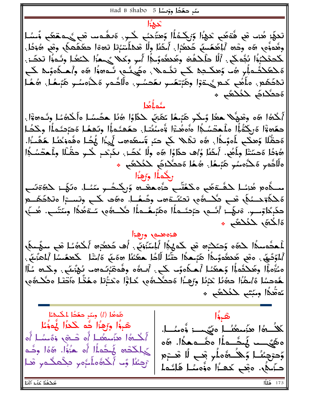Had B shabo 5 مَمْدًا وَوَسَمًا تَتَمَنُ هُنَا هُيَ فَقَعَي تَتَهَزُا وَرَبَّكُمُاْ وَهَتَبَتْنَ لَكُنَّ هُدَهُ مَا شَجَّ يُحَمِّعُن وَجَمْدًا وِهُدؤُهِ، ۞ه وحْده أَلِمَّحْمَسَنِّ حَكِمُ ۚإِ. أَحَطُّا وِلًا هَكلَّتَـٰبُوْلَا تَـ20\$ حَكَفَعِكَلِ وقع ۞وَجُل كَحِنْكَ ۚذَا نُجُّمكُ . ٱلْا حَلَكَـفُـن ومَحْمَدُومَـٰٓدًا ٱس وحُملا يُسعِنُا ۖ حَـٰدَهُم ونُـموَٰا تَحَدَّد هَكْتَكْتُمْلُو هُ- وَهْكُـْمِهْ كُلِّ نَفْـهَلا . هَيْمُـهر نُـهِهوَٰا هَه وأَحْـكُموَنِّـه كُلِّع لَهُمَّعَمَ. مَأْهُبَ كَنْمَ يُحَوَّلِ وَهُبَيْعُبِ بَعْضِيَنِ. مَلَّاضُو هَكْرُەمْبِ هَبُعُلْ. هُجُل ەُحثَلامَ لمنُلمُّى \* مْدَاْمُا أَكْثَرُا ثَهُو وِتَعِيثُلا هِعُلْ وَحَكْدٍ هَبَعُمْلُ بَحَدَبٌ كَخَلَوُا شَابًا هَشَسُلُ وأَلْكُثَمَا وتُدهوا حمَّموْتَا هَ كِتْفَلَّا مِلْحَصْبُوا وَأُوهُنَّا وُّوسُبُدا. حمَّعشَولُا وتَعمُل وَحَدِّداً وكَحُلّ هَحقُّلًا وَهكُم لَمُوَجِّدًا. ۞ه نَمْلا كُمْ حَبْرٍ وَجَمِعُوهِم لِّيخًا هُجُمَا هَفُوجُنُا هَفَمُّوا. هُوْدًا هَحِمَتْاً وِلَمُعُ. أَيضًا وُاف حكَّاوُا هَء ولًا حُكَّرَ. بِكَبِرْجِرِ حُبِ حِقَّاًا وِلْحَصْبُوا ەلَّاھُەر ەَݣَاەمْبُر ھَزْمَعًا. ھُھًا ەَحثَكْلاَكَ ݣْلْكْتْبْ ﴿ رجْهاً الوَّقِيَّا مسلَّاهِمْ هُزْسًا لِحُفَّـةَهُمْ مِكْفُنَّى حَزَّهِ هِعْسُمْهِ وَرَبِّكُمُسْرِ مَنْسًا. مَنَهُـٰٓ; لِحَوَّةتَب ەَككَةِكسَكَةٍ هُبِ تُكَسِّوُهِ، تَتَسَّدُوه وَتُنفُسَلُ وَهُتَ كُبَ وَتَسْتَرَا وَتَكَتَّصُطِ حَكِّبُكَاوْسِــر. وْبَهْــز ٱلنَّــهِ حَرْمَنْــه أَا مَكْبَــهُــه أَا تَكْـــرْهُهِ كَــتَهُدْ مَ بكتي ةالحُدَّى لمُنْلَقَّى \* ادهمه وردا لْمَحْمَىكُمْ لِدْهُه وَحَكْثِرُه هُي كُمْهُمْ! أَيْلَمُنُوْنِّي. أُفْ خُطْبُرْه أَكْرُهُمْا هُي سَهْمَكُ ٱلمَوۡضَيِّفَ وَهُو هَٰذِهُوۡوَٰٓذُا ۚ هَٰٓزَهُمُا ۖ دَنَّنُا لَاحُا ۖ مَعۡنُنُا هِءَمِّنَ هَٰٓآٰ مَنْا اللهَ المَنْوَىٰٓ . هَنُّوءُا وِهَٰذُهُمْۢا وَحِعْمًا ٱحْذُوبَ ۖ نَبِي ٱللَّهُ وَفُوتَهُنَّوَا لَيُنَبِّي وِحْدَهِ عَاْل هُوصُا ةَا هُذًا حمُّنًا كَبُنًا وَرُهِـٰٓ;ًا وَحصُّـهُۚٯ ێُـارّْ! وكَـٰٓ;ُنَا وهُنَّـا وَاَحْنَـا وكُــهُو مُەتَعْدًا وَمَئِيْنِ لِلْمُلْحَقَّىنِ \* هَمَعْلَا (١) وسَرِ حمَحًا المَكْتِهَا **ئگ,ؤا** هْرِذًا وَرَجِزًا حُم كَحِدًا يُودُمُا كَلْسُدْهُ الْمُنْمَمِّشُلْمَ مِنْ يَجْمِسُمْ وُّومِمُسْلَ أَكْتُوا مِنْسِمُنَا أَوْ شَيْئٍ وَوَّسُنَا أَوْ ەھمَىك سىگىدا كەشلەھكا. ھە جُمِلْكُدُهِ بِمُحْدَمُّا أَوْ هُزُوًا. هَوْا وَدُو وَحرْجِئْنَـا وَجْنُــوَّەمْلِ بْنَـــ لَا شَــْرَم َ رَجِئْنًا وَّٮ أَخْذَہٗہماُجُوم حِلْحَكُـٰم وَسَـٰ دَنَمهُ. وَبْعِي كَعِنُوا وَوُوسُا فَاسْما مَحْدُمُا حَرَّء ٱٱنَّا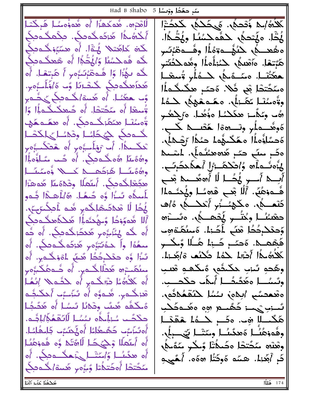$5 \overrightarrow{5}$  حَمَٰحًا وَوَسَمًا Had B shabo <u>ْكَلُوْمِكْمْ وَكُمْكِمْ، وَكُمْكَمْ لَكَلِمَةٌ وَالْمَامَ</u> لْلْعْرَى. هُدَكَدْ: أَو هُدْوُوسُا فَرِكْتَا أَكْشَكُا شَرْتُمَكُمْعَكُمْ. فِكْفَكُمْفِكُمْ هُثْاً. وَيُمْحَكُم حَقَّوحَسُنًا وِيُضَّلُّا. ﻼﻥ ﻛﻠﻤ*ٞۮ*ﻼ ﺭُﺘْﺍ. <sup>(</sup>ُﻩ ﮬﯩ*ﻨ*ﯧ័ﻭﯨﯔﻪﻣﯧﯔ ەھُمىسكُە خْنُوْسەۋەڭ (ھِسەھْرُسُر ـكُـه فُمكـ*ـُسُلُّا وَالْمُخْمُّا أ*َه هُعكـُـمَعِكِّـمَ هَّبْتِهْا. هَأْهْدِكُمْ حَدُّنْهُ هَٰذُا وِهُدِحْدُنُتُو لَّكُمْ بِجُزًا وَا قُبْحَتَهُوْبُ وَمَ أَنْ هُرْتِهْياً. أَوْ حَمَّتْنَا. مَمَّـدُمَّة كَلْمٍ وُمَعْدا مَٰدَامِدُدبَکِ لَکْتَـٰالًا وُ۔ ہٗاؤُلَمـٰرُہیں ەمَكْتْتْا بْعِ قْلا. ەَحَبّْ ھَگْىگُـەلُمْ ا وًب حَقَيْبًا. أَو هُنْدَانُدُ وَفِي رَحْدَةٍ وَوْْهِيْنَا كَكَنْفُ، هِكَدْهُهِمُ كَدْمًا وُّمعْدَا أَه مَحَّتكَا. أَه صَّعكُمكُماُ! وَا ھُ۔ وِمَٰلَمَـٰۃ ھکَنْـُـٰا ہوَٰوُھَـا. ہَرَیْنَـٰفِـرِ َوُّەملاً لا متكَّزىگ دېگى. أَو مېڭىمكى ەُوھْـــەلُمْ وتــــەەْل كَتْسَـــى كَــــى. لكمحكم لمحيحائها وذهئها كالمكشا هُحسًاؤُهاُ! ممَّكٌموُها حنُمَّا رَجْحالُ. تَكْــٰـٰهُا. أَبَّ رُوْلُمْــرُوم أَو هُتَكْــرُوم ەكرىمىك كئىر ئەم ھىشملە. لمشىك وِهُمَّىّا هُوجُدوكِ. أَو حُب سُاؤُواْلَ لِّأُوكُ هَلُو وَاصْلُكُ زَٰٓرَا ٱلْعَلَّامَدِكُرِنَــ . وهُمْنًا هُزَجُهِ ٨ كَلَّا وُمِنْسًا |أَبِــدْ أَـــرِ هُحُــا لَّا أَهمَّــمدْ بْنــح هِجَعْلِكُومِكُ. أَعنَعلَل وثَلاهَ عَلَّا هُوهَا: فُءفهُدٍ. ٱللَّا بَعَــبِ فَـهمُــا وِيُحْمُــها ا لِمُعِدُّه تَجَرُّا وُه حُبِهَا. 2⁄6أَهِـدًا فُـهو كَتْعَـــكُمْ. ەڭكەئْــزُىر أَبْتَـكَـــكُمْ ەُ/ف لُمحُل لُل مَحكَمَهِ لَكُم عَنه الْمَحْسَنَةِ عَلَيْهِ مِنْ الْمَحْسَنَةِ عَلَيْهِ مِنْ الْمَحْسَنَة حغْنَسْا وِكْتُسِ لِكَتْعَسْمَةٍ. وتُسْتَرْه ٱلل شُدَوِّوْدًا وُحِكْتُم{اً مَكَـكَامِكُـدتِكَـحْ وُحثَدْرِحُحًا هُبِّ لَمَّـٰٓ ذَٰلًا. هُسْتُمَّة و أَه كُم هُنَّبُّومِ هَٰدَهُ; كُمُوجِكِ. أَه شُه فَهْمــد. هُحـًــر خُــزِا هُــلًا وُـحْـــر مععُهُ! وأَ حدهُنَّبْوهِ هَٰذِكُمكُموكُ. أَه لْحَدُّهُ جُلَّا أَحْبَرِ الْحَدُ الْحَكْمُ وْأَبَعْـزِ الْمَ نُىٰزًا وَّە حَكْـرِحُحًا مَّىـمٍّ ءُوَوْكُــدِ نُه .<br>سَتُمَّتَرُه هَٰحَلَّلگـمِرٍ. أَه خُـمهُكُبُرُمرِ<br>أَه لَمْلُهُمُّا حَرَبگـمِرٍ أَه لَحْقَـما إِنْـمُـا وهُجو نُن حكْنُده هُنْكُفو هُنب وِتَسْسَــا هِ مَحْمَدُـــا أَيكُب حكْحـــبٍ. هْزِيگُوپِ، هُـووُه أَه تُنزُبُبُ أَجكُنفُه ەھمحسًى ابلاەز بىئىل لىنقىملائىن. هُ كُفُه هُنْت وِثْلاُنَا تُسُلَّ أَه هُجُنُّجَا ئىنې ژومۇ ھەمبەر بودە ئىمر حكْتُب سُنِلُكُو بِسُلِ لَاتَقْعُكَابِإِثُـه. هَكْسالِ وَمِن. وَضَـرِ حَسَمًا هَقَدْاً أُەلَىٰٓ;َى حَمَّىھُالَا أُەلَّكْسَّرَى جَامعُانُـا. وفَدوَهُنُــا هُمحُمُنُــا ومَنْنْــا يُهْـــرِبُل. أَه أَسَّمَلَا وَحَيْجًا لَّاهَ َّكَ وَه فُودَهُنَا وهْلُه مَكْتَحْا هَكُمْتَا وُعكُو مَّقَطُّهِ أَه مِنْسُلٍ وَاسْتَسْلِي هُمْكُمُومٍ ، أَه كَرِ أَبَعْنِكَ. هِنَدَه هُوكَتُكَ 1000. أَحَيىءِ مَكْتَحْا أُوكَتَكُمْا وُجُومٍ هَيْهَ/كُـوْمِكُمْ مَحْدُمُا حَرَّء ٱلْمَا  $\frac{1}{2}$ فَالِمُ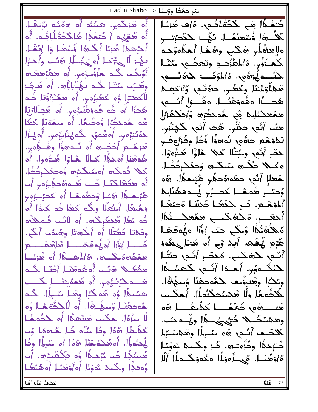$\overline{5}$ مَر حَمَحًا وِوْسَا Had B shabo كُتْهُـدًا بْعَـ كَكَتّْلَفُّـمِ. ةُ/َ هُـزْـُـلْ أَه قَدِيمُوبِ. هِمَّنُه أَه هِهَنَّه بَبَّتِهَا. أُه هَٰهَيُٓ أَ حُتمُمُۢا هَا كَكَتُهُۢ لَمِهِمْ . أُه كْلُّــةُا ذُعْمَنُهُــا. تَكَي: حَكَمَ تِـــو أَحْرَهِكَا هُزِيًا أَحْدَهُا وَٰسُعُدَا وَا إِسْقَالَ ولِلِعِتَفَلَمِ شَكْبٍ وِشَعَلَمْ أَعْمَاهُ وَحَدِ لَهُمْ لَا حِنْهُمْ لِمَا أَوْجَ مِنْ أَسْتَهْرِ لَا بَنْهَا مِنْ كْمْزُوْرٍ. وْالْمُزْحَدِ وِتْعَخَّـمِ مَتْبَـلْ أَوُلِكُما لَكُمْ هُزُوْلَيْرُهِ بِ. أَوْ هَيْكُرُهِكُمْ وَ لِمُسْتَوَلُّوْهُوں. وْالْمُؤْكَسْسْ لِلْمُوْشُسُومِ وهَٰدُو مَنْنَا كُے لِمُخَالِمُ؟. أَو هُرِجُة هَهْلُوْدْ مُنْ وَكَعُبٍ. حَمُّتُو وَٱلْكَحِمْ للَّكْفَدَّإِ وَّه كَفَنُبُومٍ. أَو هَمَّزْاوْنَا شُـه هَجَدُّا وَقُودُهُـُــا. وَقَـــرُا أَنُـــو هَٰدُا أَه شُه فُوهُنَّبُومٍ. أَه هُدِـُللرَّبْل هِمُعِنْدُابِكَ بِي هُوَجِدُونَ وُاصْلِكُوْرُل هُد هُددُرُا وُدتُهُا. أَو سَهُدَنَا خَطَا هنَّ أَنَّه حَتَّبٍ. هُت أَنَّه كَهِنُّنٍ. لْمُوَنَّبُومِ. أُوهُومُو ۖ كُولِئُنُومُو. أُولِئُ لْلْافِـقْعْ حَثَّى لَهُ1, فَأَوْ أَوْحًا وِكَـٰٓوُوَكُــٰرِ هْزَهُــع أُخْضِــه أَه شَــهِ وَوُا وِهُـــأَهِ بِـ حصْرِ أَنَّقِ وَمَّتْلًا كَحَلَّا هُلَوّْاً هُـتَّوَوْاً. هُومْنَا أُوحِفًا حَـالًا هُـارّْا هُـتُّورْا. أُو ەكىلا ئېگە سَىڭى ۆجىْلاردُدُا. لَّكْلًا ۖ ثُمَكُنُّهُ ۖ أُمَنِّنَكُنْهُمْ ۖ وَمَحْكَظِيظُوا ا هَجلا أَنُوبِ حجَّدهُحِمْرِ هَبُعِجَا. هَء أَه محَمْلِكْتَا حُـب مَــوهَدَأِجْوِبِ أَب وُحمَـٰ ۖ هُدهـْـا كَحـــرُ ۖ وُــدففُلُا ِـد هُرُهِهُ أَنْ أَوْدِهُمْ أَوْ كُدَبَ وَمِنْهُمْ الْمَسْتَرَوْمِ ٱلمُوْهَــُمْ. كَــرٍ لِلْكَعُـا كَحِسُّـا هُجِمَعُـا وَهُبِعُدًا. أَيْتَعَلَّلَ وَجَّدَ جَعَدًا ذَذِ جَدَةًا أَنَّ أَحْقَــــمِ. هَـلَاهُ كَنْــــــ مَعَصلَـــتُكُلُّ ثُم مُعْلِ مُعظَّرِكُم. أَه لَّائُب شُمِيلُو هَ اللَّهُنُمُا مِّكُم حَبٍّ إِنَّهَا مِهْقَشَا وضْلاَلا كَعَّنْلَا أُه أَحْدُهُ تَلْ وهُمَّف أَحْبَ. كَتُرِم لَهُكُمْ. أَبِيهْ وَبِي أَنْ هُدَعْلِ بِكِثْدَةِ حُــــــا }وُّا أُم بُمقشَــــا مْامْعْــــــم هِمَجُوهَ كُمِ وَالْمُعَالَ أَوْ هُزْئِهِ أَنَّــم للْمُكْبِ. هُـحتَّــرِ أَنَّــم حَتَّــل لِكَنُّدُوبِ أَحِدًا أَنَّمِ لَكَعْشَكَا محَمَد الأنَّبِ أُوشُومْنَا أَحْسَا كُـو ھُـــوكُرُكَرُورِ. أَو هُـموَّيْتَـــل كَـــب وِحَكَرَا وِبْحَدِوْمَ حَكْمُ حَمَٰلًا وَسَجُرَةَا. هسَّماْ وُه هُدكُرُا وقدا سُبدًّا. كُـد لَكَثُمكُمْ ولًا مْحَمْنَحَكْثُمَلًا. أَحكست هُوحِفُنُـا وَمِنْهُــٰٓةًا. أَو لَالحَدَّعْـمْـا وُو هْلَــــوْهِ وَالْمُـــا كَذَّلْفُـــا هُ لًا مِنْهُا. هكْتُ مْشْعَمَّا أُو حْثُوهَا وهممنّک لا حَتَيْ يُهِ لَه الْمُسْمَعَةِ. كَذُبَهُا هَوْا وَدًا مُنَوَ كَلْ هَـْمَوَهُا وَبَ للائسم أئسي 6% مئسوأا وتحدمنكرا لْحَنَّدَلَمَا. أُدْهَٰلِكَ هَنَّا 5َذَا أُدَّ مَنْزِلًا وَذَا كَبَرْدَهُا وِكُنُوسُو. كَـٰز وِكْـٰدِهِ شَوْسًا مَّسْتَجَلًا هُــ مُرْحَدُا وُه صَكْمَتْ ِهِ. أَبْ كَاوْتُعُـُــا. يَ عَيْدَةُ الْمُوَمَّلُ مِنْ عَدْمَا ٱلْلَّا وُّوحِدًا وكُمِيمْ شَوُءُا أُوأُوْهُدُا أُوهَدُهُا

مَحْدُمُا حَرَّىر ٱلْمَاحَ